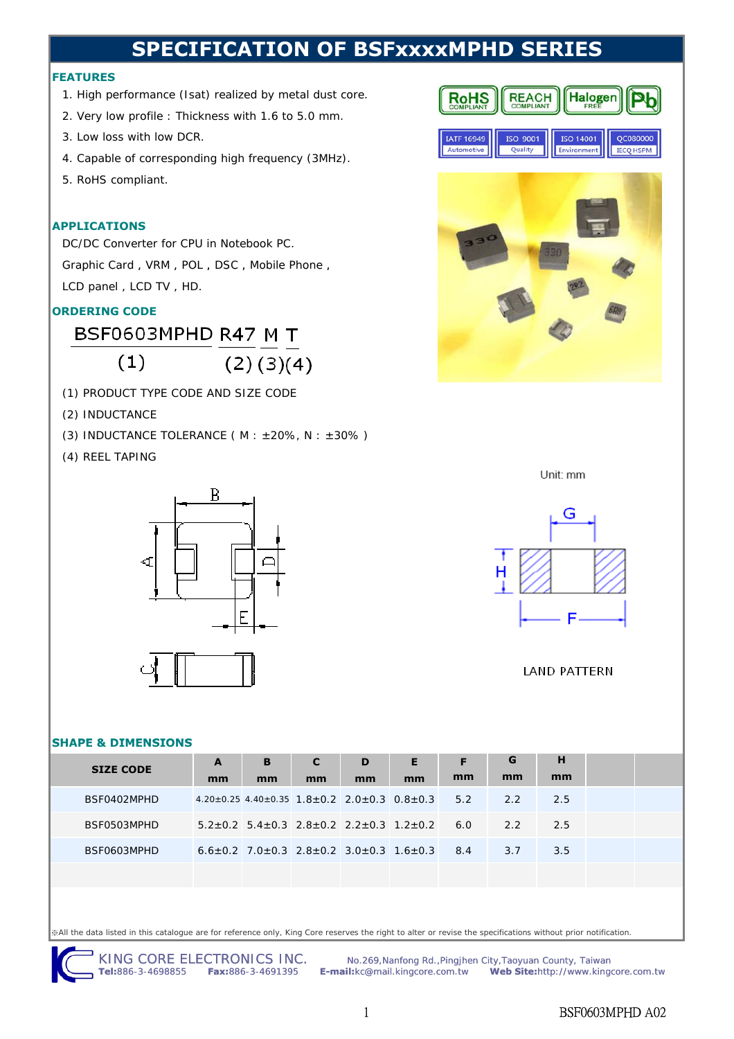# **SPECIFICATION OF BSFxxxxMPHD SERIES**

### **FEATURES**

- 1. High performance (Isat) realized by metal dust core.
- 2. Very low profile : Thickness with 1.6 to 5.0 mm.
- 3. Low loss with low DCR.
- 4. Capable of corresponding high frequency (3MHz).
- 5. RoHS compliant.

### **APPLICATIONS**

DC/DC Converter for CPU in Notebook PC. Graphic Card, VRM, POL, DSC, Mobile Phone, LCD panel , LCD TV , HD.

# **ORDERING CODE**

BSF0603MPHD R47 M T

 $(2)(3)(4)$  $(1)$ 

- (1) PRODUCT TYPE CODE AND SIZE CODE
- (2) INDUCTANCE
- (3) INDUCTANCE TOLERANCE ( $M : ±20\%$ ,  $N : ±30\%$ )
- (4) REEL TAPING



## **SHAPE & DIMENSIONS**

| <b>SIZE CODE</b> | A  | B  | $\mathbf{C}$ | D  | E.                                                                            | F  | G   | н    |  |
|------------------|----|----|--------------|----|-------------------------------------------------------------------------------|----|-----|------|--|
|                  | mm | mm | mm           | mm | mm                                                                            | mm | mm  | mm   |  |
| BSF0402MPHD      |    |    |              |    | $4.20 \pm 0.25$ $4.40 \pm 0.35$ $1.8 \pm 0.2$ $2.0 \pm 0.3$ $0.8 \pm 0.3$ 5.2 |    | 2.2 | 2.5  |  |
| BSF0503MPHD      |    |    |              |    | $5.2+0.2$ $5.4+0.3$ $2.8+0.2$ $2.2+0.3$ $1.2+0.2$ 6.0 2.2                     |    |     | -2.5 |  |
| BSF0603MPHD      |    |    |              |    | $6.6+0.2$ 7.0+0.3 2.8+0.2 3.0+0.3 1.6+0.3 8.4                                 |    | 3.7 | 3.5  |  |
|                  |    |    |              |    |                                                                               |    |     |      |  |

※All the data listed in this catalogue are for reference only, King Core reserves the right to alter or revise the specifications without prior notification.

KING CORE ELECTRONICS INC. Mo.269, Nanfong Rd., Pingjhen City, Taoyuan County, Taiwan<br>Tel:886-3-4698855 Fax:886-3-4691395 E-mail:kc@mail.kingcore.com.tw Web Site:http://www.king **Tel:**886-3-4698855 **Fax:**886-3-4691395 **E-mail:**kc@mail.kingcore.com.tw **Web Site:**http://www.kingcore.com.tw





Unit: mm



## **LAND PATTERN**